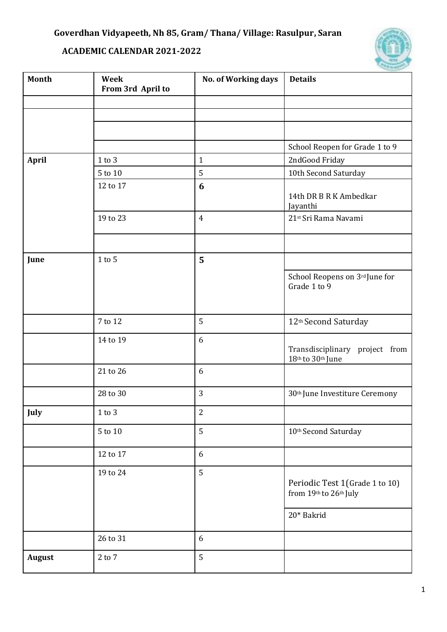## **ACADEMIC CALENDAR 2021-2022**



| Month         | Week<br>From 3rd April to | No. of Working days | <b>Details</b>                                            |
|---------------|---------------------------|---------------------|-----------------------------------------------------------|
|               |                           |                     |                                                           |
|               |                           |                     |                                                           |
|               |                           |                     |                                                           |
|               |                           |                     | School Reopen for Grade 1 to 9                            |
| <b>April</b>  | $1$ to $3$                | $\mathbf{1}$        | 2ndGood Friday                                            |
|               | 5 to 10                   | 5                   | 10th Second Saturday                                      |
|               | 12 to 17                  | 6                   | 14th DR B R K Ambedkar<br>Jayanthi                        |
|               | 19 to 23                  | $\overline{4}$      | 21st Sri Rama Navami                                      |
|               |                           |                     |                                                           |
| June          | $1$ to $5$                | 5                   |                                                           |
|               |                           |                     | School Reopens on 3rd June for<br>Grade 1 to 9            |
|               | 7 to 12                   | 5                   | 12 <sup>th</sup> Second Saturday                          |
|               | 14 to 19                  | 6                   | Transdisciplinary project from<br>18th to 30th June       |
|               | 21 to 26                  | 6                   |                                                           |
|               | 28 to 30                  | 3                   | 30 <sup>th</sup> June Investiture Ceremony                |
| July          | $1$ to $3$                | $\overline{c}$      |                                                           |
|               | $5$ to $10\,$             | 5                   | 10th Second Saturday                                      |
|               | 12 to 17                  | 6                   |                                                           |
|               | 19 to 24                  | 5                   | Periodic Test 1 (Grade 1 to 10)<br>from 19th to 26th July |
|               |                           |                     | 20* Bakrid                                                |
|               | 26 to 31                  | 6                   |                                                           |
| <b>August</b> | $2$ to $7\,$              | 5                   |                                                           |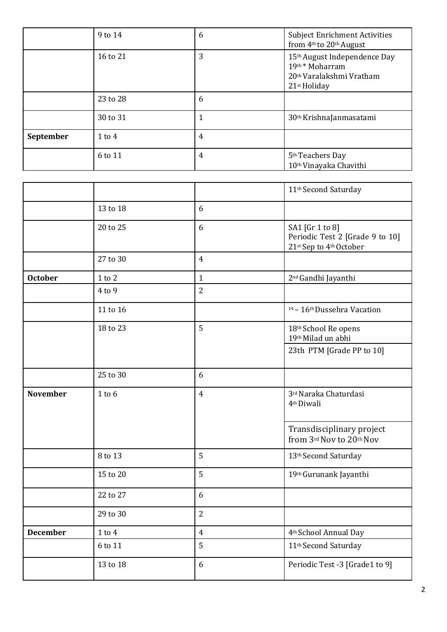|           | 9 to 14    | 6 | <b>Subject Enrichment Activities</b><br>from 4th to 20th August                                                    |
|-----------|------------|---|--------------------------------------------------------------------------------------------------------------------|
|           | 16 to 21   | 3 | 15th August Independence Day<br>19th* Moharram<br>20 <sup>th</sup> Varalakshmi Vratham<br>21 <sup>st</sup> Holiday |
|           | 23 to 28   | 6 |                                                                                                                    |
|           | 30 to 31   |   | 30 <sup>th</sup> KrishnaJanmasatami                                                                                |
| September | $1$ to $4$ | 4 |                                                                                                                    |
|           | 6 to 11    | 4 | 5 <sup>th</sup> Teachers Day<br>10 <sup>th</sup> Vinayaka Chavithi                                                 |

|                 |                |                  | 11 <sup>th</sup> Second Saturday                                              |
|-----------------|----------------|------------------|-------------------------------------------------------------------------------|
|                 | 13 to 18       | 6                |                                                                               |
|                 | 20 to 25       | 6                | SA1 [Gr 1 to 8]<br>Periodic Test 2 [Grade 9 to 10]<br>21st Sep to 4th October |
|                 | 27 to 30       | $\overline{4}$   |                                                                               |
| <b>October</b>  | $1$ to $2$     | $\mathbf{1}$     | 2 <sup>nd</sup> Gandhi Jayanthi                                               |
|                 | 4 to 9         | $\overline{2}$   |                                                                               |
|                 | 11 to 16       |                  | <sup>14</sup> - 16 <sup>th</sup> Dussehra Vacation                            |
|                 | 18 to 23       | 5                | 18th School Re opens<br>19th Milad un abhi                                    |
|                 |                |                  | 23th PTM [Grade PP to 10]                                                     |
|                 | 25 to 30       | 6                |                                                                               |
| <b>November</b> | $1$ to $6$     | $\overline{4}$   | 3rd Naraka Chaturdasi<br>4 <sup>th</sup> Diwali                               |
|                 |                |                  | Transdisciplinary project<br>from 3rd Nov to 20th Nov                         |
|                 | 8 to 13        | 5                | 13 <sup>th</sup> Second Saturday                                              |
|                 | 15 to 20       | 5                | 19th Gurunank Jayanthi                                                        |
|                 | 22 to 27       | 6                |                                                                               |
|                 | 29 to 30       | $\overline{2}$   |                                                                               |
| <b>December</b> | $1$ to $4\,$   | $\overline{4}$   | 4 <sup>th</sup> School Annual Day                                             |
|                 | 6 to 11        | 5                | 11 <sup>th</sup> Second Saturday                                              |
|                 | $13$ to $18\,$ | $\boldsymbol{6}$ | Periodic Test -3 [Grade1 to 9]                                                |